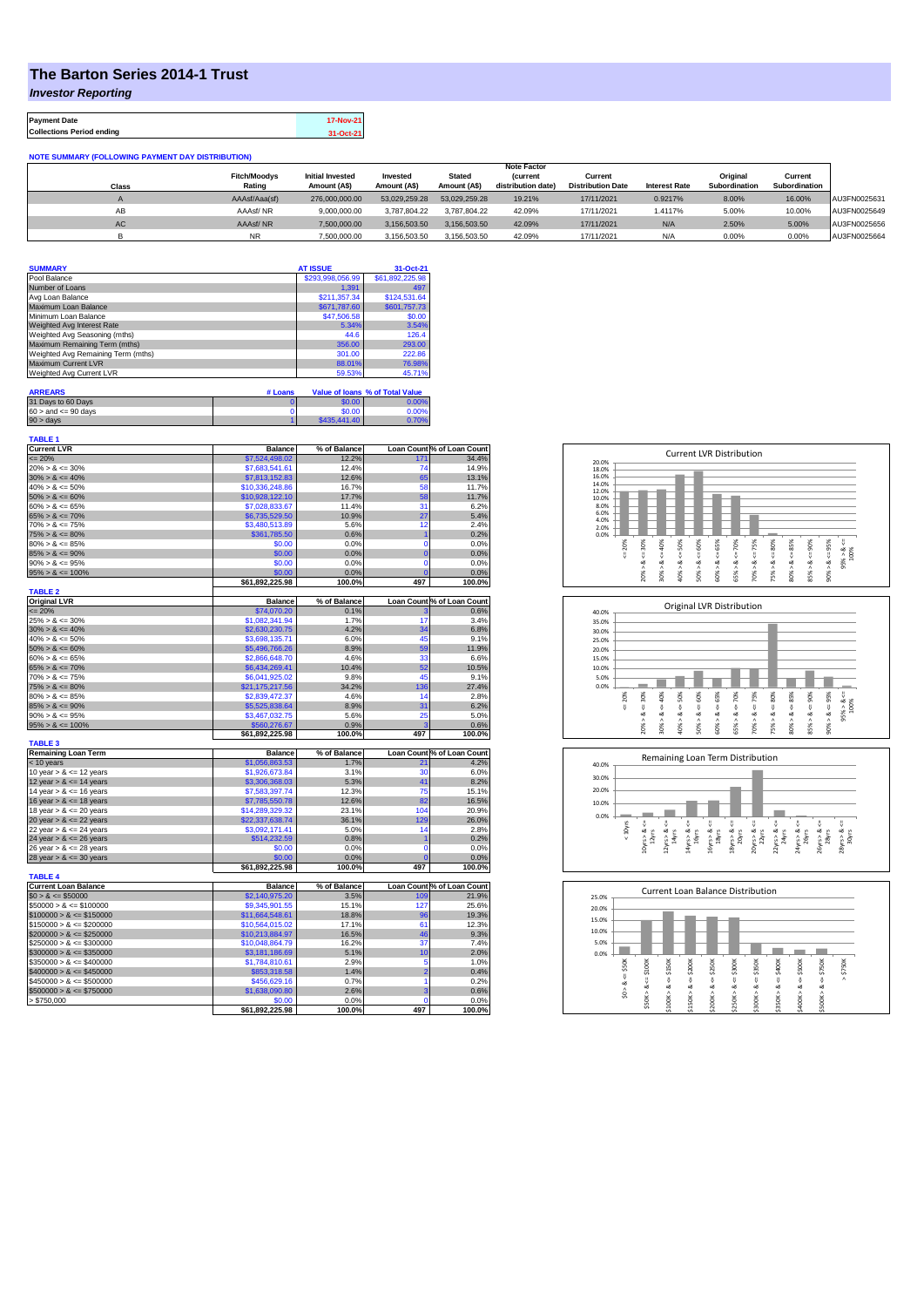## **The Barton Series 2014-1 Trust**

*Investor Reporting*

**Payment Date 17-Nov-21 Collections Period ending 31-Oct-21**

**NOTE SUMMARY (FOLLOWING PAYMENT DAY DISTRIBUTION)**

|              |                     |                         |               |               | <b>Note Factor</b> |                          |                      |               |               |              |
|--------------|---------------------|-------------------------|---------------|---------------|--------------------|--------------------------|----------------------|---------------|---------------|--------------|
|              | <b>Fitch/Moodvs</b> | <b>Initial Invested</b> | Invested      | <b>Stated</b> | <i>(current</i>    | Current                  |                      | Original      | Current       |              |
| <b>Class</b> | Rating              | Amount (A\$)            | Amount (A\$)  | Amount (A\$)  | distribution date) | <b>Distribution Date</b> | <b>Interest Rate</b> | Subordination | Subordination |              |
|              | AAAsf/Aaa(sf)       | 276,000,000.00          | 53.029.259.28 | 53.029.259.28 | 19.21%             | 17/11/2021               | 0.9217%              | 8.00%         | 16.00%        | AU3FN0025631 |
| AВ           | AAAsf/NR            | 9,000,000.00            | 3.787.804.22  | 3.787.804.22  | 42.09%             | 17/11/2021               | 1.4117%              | 5.00%         | 10.00%        | AU3FN0025649 |
| <b>AC</b>    | AAAsf/NR            | 7,500,000.00            | 3.156.503.50  | 3.156.503.50  | 42.09%             | 17/11/2021               | N/A                  | 2.50%         | 5.00%         | AU3FN0025656 |
|              | <b>NR</b>           | 7.500.000.00            | 3,156,503.50  | 3.156.503.50  | 42.09%             | 17/11/2021               | N/A                  | 0.00%         | 0.00%         | AU3FN0025664 |

| <b>SUMMARY</b>                     | <b>AT ISSUE</b>  | 31-Oct-21       |
|------------------------------------|------------------|-----------------|
| Pool Balance                       | \$293,998,056.99 | \$61,892,225.98 |
| Number of Loans                    | 1.391            | 497             |
| Avg Loan Balance                   | \$211,357.34     | \$124,531.64    |
| Maximum Loan Balance               | \$671,787.60     | \$601,757.73    |
| Minimum Loan Balance               | \$47,506.58      | \$0.00          |
| Weighted Avg Interest Rate         | 5.34%            | 3.54%           |
| Weighted Avg Seasoning (mths)      | 44.6             | 126.4           |
| Maximum Remaining Term (mths)      | 356.00           | 293.00          |
| Weighted Avg Remaining Term (mths) | 301.00           | 222.86          |
| Maximum Current LVR                | 88.01%           | 76.98%          |
| Weighted Avg Current LVR           | 59.53%           | 45.71%          |

| <b>ARREARS</b>            | # Loans |              | Value of Ioans % of Total Value |
|---------------------------|---------|--------------|---------------------------------|
| 31 Days to 60 Days        |         | \$0.00       | 0.00%                           |
| $60 >$ and $\leq 90$ days |         | \$0.00       | 0.00%                           |
| $90 >$ days               |         | \$435,441.40 | 0.70%                           |

| <b>TABLE 1</b>                           |                          |              |                |                            |
|------------------------------------------|--------------------------|--------------|----------------|----------------------------|
| <b>Current LVR</b>                       | <b>Balance</b>           | % of Balance |                | Loan Count % of Loan Count |
| $= 20%$                                  | \$7,524,498.02           | 12.2%        | 171            | 34.4%                      |
| $20\% > 8 \le 30\%$                      | \$7,683,541.61           | 12.4%        | 74             | 14.9%                      |
| $30\% > 8 \le 40\%$                      | \$7,813,152.83           | 12.6%        | 65             | 13.1%                      |
| $40\% > 8 \le 50\%$                      | \$10,336,248.86          | 16.7%        | 58             | 11.7%                      |
| $50\% > 8 \le 60\%$                      | \$10,928,122.10          | 17.7%        | 58             | 11.7%                      |
| $60\% > 8 \le 65\%$                      | \$7,028,833.67           | 11.4%        | 31             | 6.2%                       |
| $65\% > 8 \le 70\%$                      | \$6,735,529.50           | 10.9%        | 27             | 5.4%                       |
| $70\% > 8 \le 75\%$                      | \$3,480,513.89           | 5.6%         | 12             | 2.4%                       |
| $75\% > 8 \le 80\%$                      | \$361,785.50             | 0.6%         | $\overline{1}$ | 0.2%                       |
| $80\% > 8 \le 85\%$                      | \$0.00                   | 0.0%         | 0              | 0.0%                       |
| $85\% > 8 \le 90\%$                      | \$0.00                   | 0.0%         | $\overline{0}$ | 0.0%                       |
| $90\% > 8 \le 95\%$                      | \$0.00                   | 0.0%         | $\overline{0}$ | 0.0%                       |
| $95\% > 8 \le 100\%$                     | \$0.00                   | 0.0%         | $\overline{0}$ | 0.0%                       |
|                                          | \$61,892,225.98          | 100.0%       | 497            | 100.0%                     |
| <b>TABLE 2</b>                           |                          |              |                |                            |
| <b>Original LVR</b>                      | <b>Balance</b>           | % of Balance |                | Loan Count % of Loan Count |
| $= 20%$                                  | \$74,070.20              | 0.1%         |                | 0.6%                       |
| $25\% > 8 \le 30\%$                      | \$1,082,341.94           | 1.7%         | 17             | 3.4%                       |
| $30\% > 8 \le 40\%$                      | \$2,630,230.75           | 4.2%         | 34             | 6.8%                       |
| $40\% > 8 \le 50\%$                      | \$3,698,135.71           | 6.0%         | 45             | 9.1%                       |
| $50\% > 8 \le 60\%$                      | \$5,496,766.26           | 8.9%         | 59             | 11.9%                      |
| $60\% > 8 \le 65\%$                      | \$2,866,648.70           | 4.6%         | 33             | 6.6%                       |
| $65\% > 8 \le 70\%$                      | \$6,434,269.41           | 10.4%        | 52             | 10.5%                      |
| $70\% > 8 \le 75\%$                      | \$6,041,925.02           | 9.8%         | 45             | 9.1%                       |
| $75\% > 8 \le 80\%$                      | \$21,175,217.56          | 34.2%        | 136            | 27.4%                      |
| $80\% > 8 \le 85\%$                      | \$2,839,472.37           | 4.6%         | 14             | 2.8%                       |
| $85\% > 8 \le 90\%$                      | \$5,525,838.64           | 8.9%         | 31             | 6.2%                       |
| $90\% > 8 \le 95\%$                      | \$3,467,032.75           | 5.6%         | 25             | 5.0%                       |
| $95\% > 8 \le 100\%$                     | \$560,276.67             | 0.9%         | ä              | 0.6%                       |
|                                          | \$61,892,225.98          | 100.0%       | 497            | 100.0%                     |
| <b>TABLE 3</b>                           |                          |              |                |                            |
| <b>Remaining Loan Term</b>               | <b>Balance</b>           | % of Balance |                | Loan Count % of Loan Count |
| < 10 years                               | \$1,056,863.53           | 1.7%         | 21             | 4.2%                       |
| 10 year $> 8 \le 12$ years               | \$1,926,673.84           | 3.1%         | 30             | 6.0%                       |
| 12 year $> 8 \le 14$ years               | \$3,306,368.03           | 5.3%         | 41             | 8.2%                       |
| 14 year $> 8 \le 16$ years               | \$7,583,397.74           | 12.3%        | 75             | 15.1%                      |
| 16 year $> 8 \le 18$ years               | \$7,785,550.78           | 12.6%        | 82             | 16.5%                      |
| 18 year $> 8 \le 20$ years               | \$14,289,329.32          | 23.1%        | 104            | 20.9%                      |
| 20 year $> 8 \le 22$ years               | \$22,337,638.74          | 36.1%        | 129            | 26.0%                      |
| 22 year $> 8 \le 24$ years               | \$3,092,171.41           | 5.0%         | 14             | 2.8%                       |
| 24 year $> 8 \le 26$ years               | \$514,232.59             | 0.8%         | ۹              | 0.2%                       |
| 26 year $> 8 \le 28$ years               | \$0.00                   | 0.0%         | 0              | 0.0%                       |
| 28 year $> 8 \le 30$ years               | \$0.00                   | 0.0%         | $\overline{0}$ | 0.0%                       |
|                                          | \$61,892,225.98          | 100.0%       | 497            | 100.0%                     |
| <b>TABLE 4</b>                           |                          |              |                |                            |
| <b>Current Loan Balance</b>              | <b>Balance</b>           | % of Balance |                | Loan Count % of Loan Count |
| $$0 > 8 \le $50000$                      | \$2,140,975.20           | 3.5%         | 109            | 21.9%                      |
| $$50000 > 8 \le $100000$                 | \$9,345,901.55           | 15.1%        | 127            | 25.6%                      |
| $$100000 > 8 \le $150000$                | \$11,664,548.61          | 18.8%        | 96             | 19.3%                      |
| $$150000 > 8 \leq $200000$               | \$10,564,015.02          | 17.1%        | 61             | 12.3%                      |
| $$200000 > 8 \leq $250000$               | \$10,213,884.97          | 16.5%        | 46             | 9.3%                       |
| $$250000 > 8 \le $300000$                | \$10,048,864.79          | 16.2%        | 37             | 7.4%                       |
| $$300000 > 8 \leq $350000$               | \$3,181,186.69           | 5.1%         | 10             | 2.0%                       |
| $$350000 > 8 \le $400000$                | \$1,784,810.61           | 2.9%         | 5              | 1.0%                       |
| $$400000 > 8 \le $450000$                |                          | 1.4%         | $\overline{2}$ | 0.4%                       |
| $$450000 > 8 \le $500000$                | \$853,318.58             | 0.7%         | 1              | 0.2%                       |
|                                          | \$456,629.16             |              | 3              |                            |
| $$500000 > 8 \le $750000$<br>> \$750,000 | \$1,638,090.80<br>\$0.00 | 2.6%<br>0.0% | $\mathbf 0$    | 0.6%<br>0.0%               |
|                                          |                          | 100.0%       | 497            | 100.0%                     |
|                                          | \$61,892,225.98          |              |                |                            |







| 25.0% |         |        |        |         | <b>Current Loan Balance Distribution</b> |        |        |        |        |        |        |  |
|-------|---------|--------|--------|---------|------------------------------------------|--------|--------|--------|--------|--------|--------|--|
| 20.0% |         |        |        |         |                                          |        |        |        |        |        |        |  |
| 15.0% |         |        |        |         |                                          |        |        |        |        |        |        |  |
| 10.0% |         |        |        |         |                                          |        |        |        |        |        |        |  |
| 5.0%  |         |        |        |         |                                          |        |        |        |        |        |        |  |
| 0.0%  |         |        |        |         |                                          |        |        |        |        |        |        |  |
|       | \$50K   | \$100K | \$150K | \$200K  | \$250K                                   | \$300K | \$350K | \$400K | \$500K | \$750K | \$750K |  |
|       | U       |        |        |         |                                          |        |        |        |        |        | Λ      |  |
|       | ∞       | 8 <    | ₩<br>œ | ₩<br>∞  | ₩<br>œ                                   | ₩<br>∞ | ₩<br>œ | ű<br>ಯ | ₩<br>œ | V<br>œ |        |  |
|       | ٨<br>S. |        | Λ      |         | л                                        | ٨      | ۸      | Λ      | Λ      | ٨      |        |  |
|       |         | \$50K> | \$100K | \$150K> | \$200K                                   | \$250K | \$300K | \$350K | \$400K | \$500K |        |  |
|       |         |        |        |         |                                          |        |        |        |        |        |        |  |